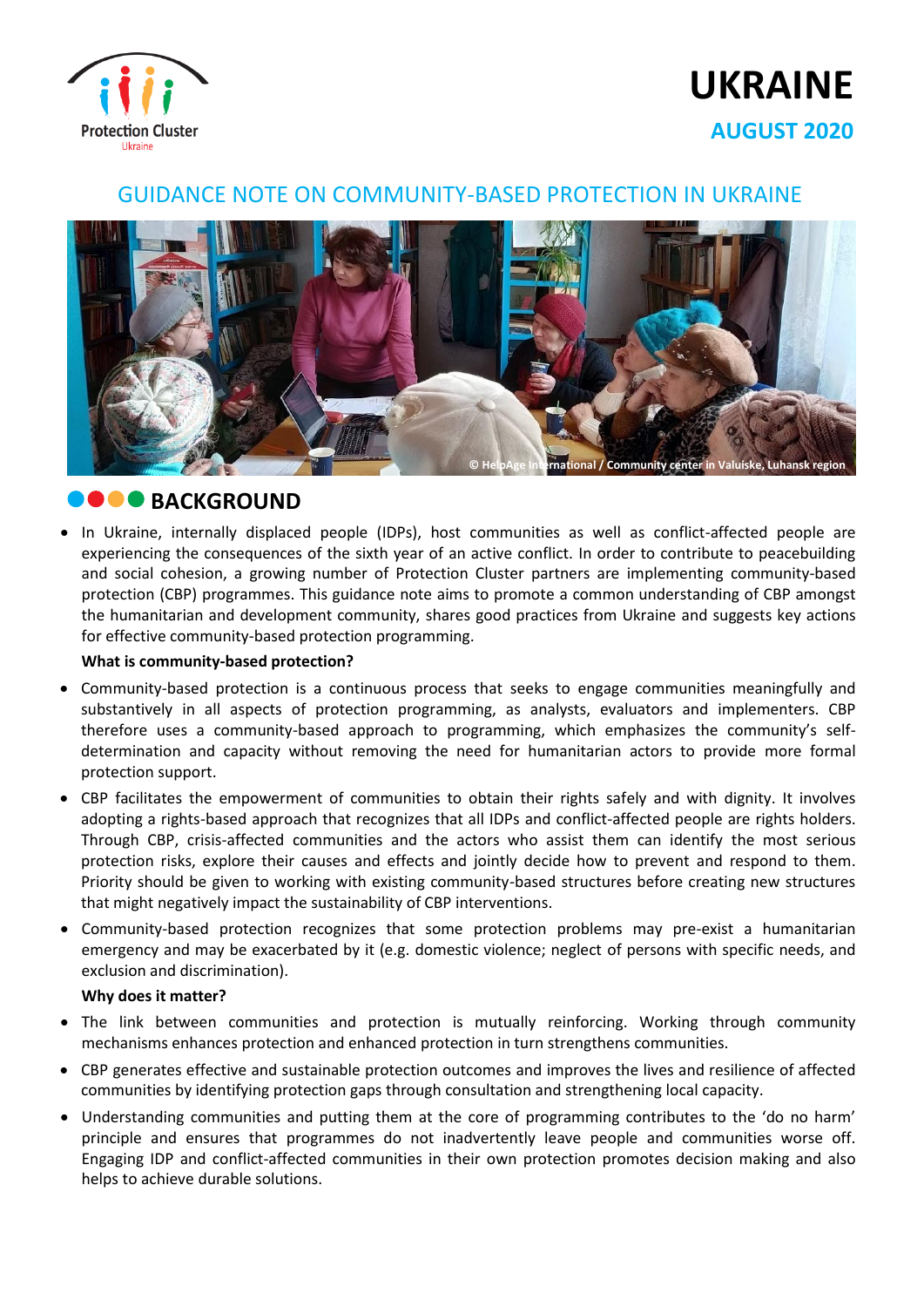

# **UKRAINE AUGUST 2020**

### GUIDANCE NOTE ON COMMUNITY-BASED PROTECTION IN UKRAINE



# **BACKGROUND**

• In Ukraine, internally displaced people (IDPs), host communities as well as conflict-affected people are experiencing the consequences of the sixth year of an active conflict. In order to contribute to peacebuilding and social cohesion, a growing number of Protection Cluster partners are implementing community-based protection (CBP) programmes. This guidance note aims to promote a common understanding of CBP amongst the humanitarian and development community, shares good practices from Ukraine and suggests key actions for effective community-based protection programming.

### **What is community-based protection?**

- Community-based protection is a continuous process that seeks to engage communities meaningfully and substantively in all aspects of protection programming, as analysts, evaluators and implementers. CBP therefore uses a community-based approach to programming, which emphasizes the community's selfdetermination and capacity without removing the need for humanitarian actors to provide more formal protection support.
- CBP facilitates the empowerment of communities to obtain their rights safely and with dignity. It involves adopting a rights-based approach that recognizes that all IDPs and conflict-affected people are rights holders. Through CBP, crisis-affected communities and the actors who assist them can identify the most serious protection risks, explore their causes and effects and jointly decide how to prevent and respond to them. Priority should be given to working with existing community-based structures before creating new structures that might negatively impact the sustainability of CBP interventions.
- Community-based protection recognizes that some protection problems may pre-exist a humanitarian emergency and may be exacerbated by it (e.g. domestic violence; neglect of persons with specific needs, and exclusion and discrimination).

### **Why does it matter?**

- The link between communities and protection is mutually reinforcing. Working through community mechanisms enhances protection and enhanced protection in turn strengthens communities.
- CBP generates effective and sustainable protection outcomes and improves the lives and resilience of affected communities by identifying protection gaps through consultation and strengthening local capacity.
- Understanding communities and putting them at the core of programming contributes to the 'do no harm' principle and ensures that programmes do not inadvertently leave people and communities worse off. Engaging IDP and conflict-affected communities in their own protection promotes decision making and also helps to achieve durable solutions.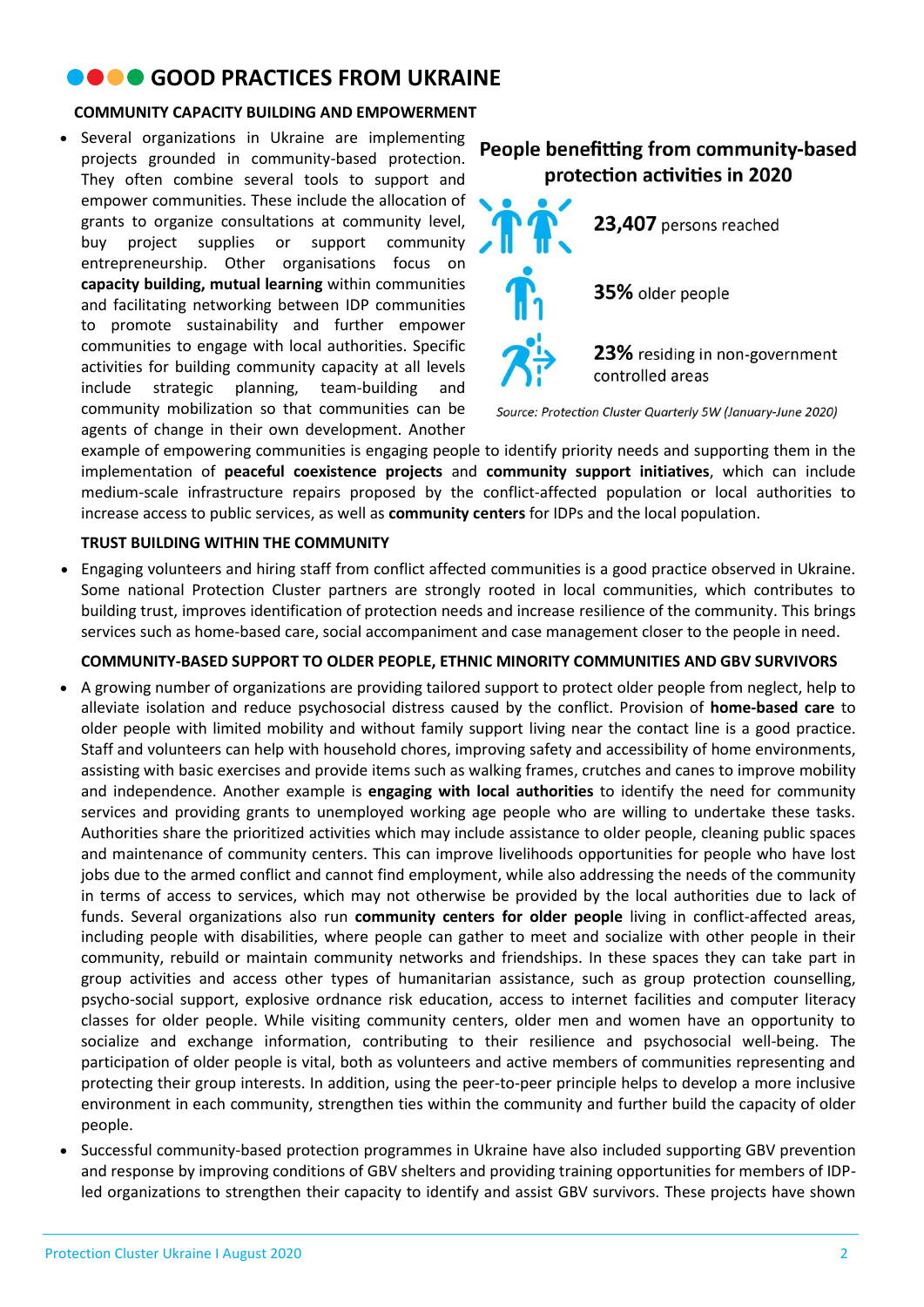# **COOD PRACTICES FROM UKRAINE**

### **COMMUNITY CAPACITY BUILDING AND EMPOWERMENT**

• Several organizations in Ukraine are implementing projects grounded in community-based protection. They often combine several tools to support and empower communities. These include the allocation of grants to organize consultations at community level, buy project supplies or support community entrepreneurship. Other organisations focus on **capacity building, mutual learning** within communities and facilitating networking between IDP communities to promote sustainability and further empower communities to engage with local authorities. Specific activities for building community capacity at all levels include strategic planning, team-building and community mobilization so that communities can be agents of change in their own development. Another

### People benefitting from community-based protection activities in 2020



Source: Protection Cluster Quarterly 5W (January-June 2020)

example of empowering communities is engaging people to identify priority needs and supporting them in the implementation of **peaceful coexistence projects** and **community support initiatives**, which can include medium-scale infrastructure repairs proposed by the conflict-affected population or local authorities to increase access to public services, as well as **community centers** for IDPs and the local population.

### **TRUST BUILDING WITHIN THE COMMUNITY**

• Engaging volunteers and hiring staff from conflict affected communities is a good practice observed in Ukraine. Some national Protection Cluster partners are strongly rooted in local communities, which contributes to building trust, improves identification of protection needs and increase resilience of the community. This brings services such as home-based care, social accompaniment and case management closer to the people in need.

### **COMMUNITY-BASED SUPPORT TO OLDER PEOPLE, ETHNIC MINORITY COMMUNITIES AND GBV SURVIVORS**

- A growing number of organizations are providing tailored support to protect older people from neglect, help to alleviate isolation and reduce psychosocial distress caused by the conflict. Provision of **home-based care** to older people with limited mobility and without family support living near the contact line is a good practice. Staff and volunteers can help with household chores, improving safety and accessibility of home environments, assisting with basic exercises and provide items such as walking frames, crutches and canes to improve mobility and independence. Another example is **engaging with local authorities** to identify the need for community services and providing grants to unemployed working age people who are willing to undertake these tasks. Authorities share the prioritized activities which may include assistance to older people, cleaning public spaces and maintenance of community centers. This can improve livelihoods opportunities for people who have lost jobs due to the armed conflict and cannot find employment, while also addressing the needs of the community in terms of access to services, which may not otherwise be provided by the local authorities due to lack of funds. Several organizations also run **community centers for older people** living in conflict-affected areas, including people with disabilities, where people can gather to meet and socialize with other people in their community, rebuild or maintain community networks and friendships. In these spaces they can take part in group activities and access other types of humanitarian assistance, such as group protection counselling, psycho-social support, explosive ordnance risk education, access to internet facilities and computer literacy classes for older people. While visiting community centers, older men and women have an opportunity to socialize and exchange information, contributing to their resilience and psychosocial well-being. The participation of older people is vital, both as volunteers and active members of communities representing and protecting their group interests. In addition, using the peer-to-peer principle helps to develop a more inclusive environment in each community, strengthen ties within the community and further build the capacity of older people.
- Successful community-based protection programmes in Ukraine have also included supporting GBV prevention and response by improving conditions of GBV shelters and providing training opportunities for members of IDPled organizations to strengthen their capacity to identify and assist GBV survivors. These projects have shown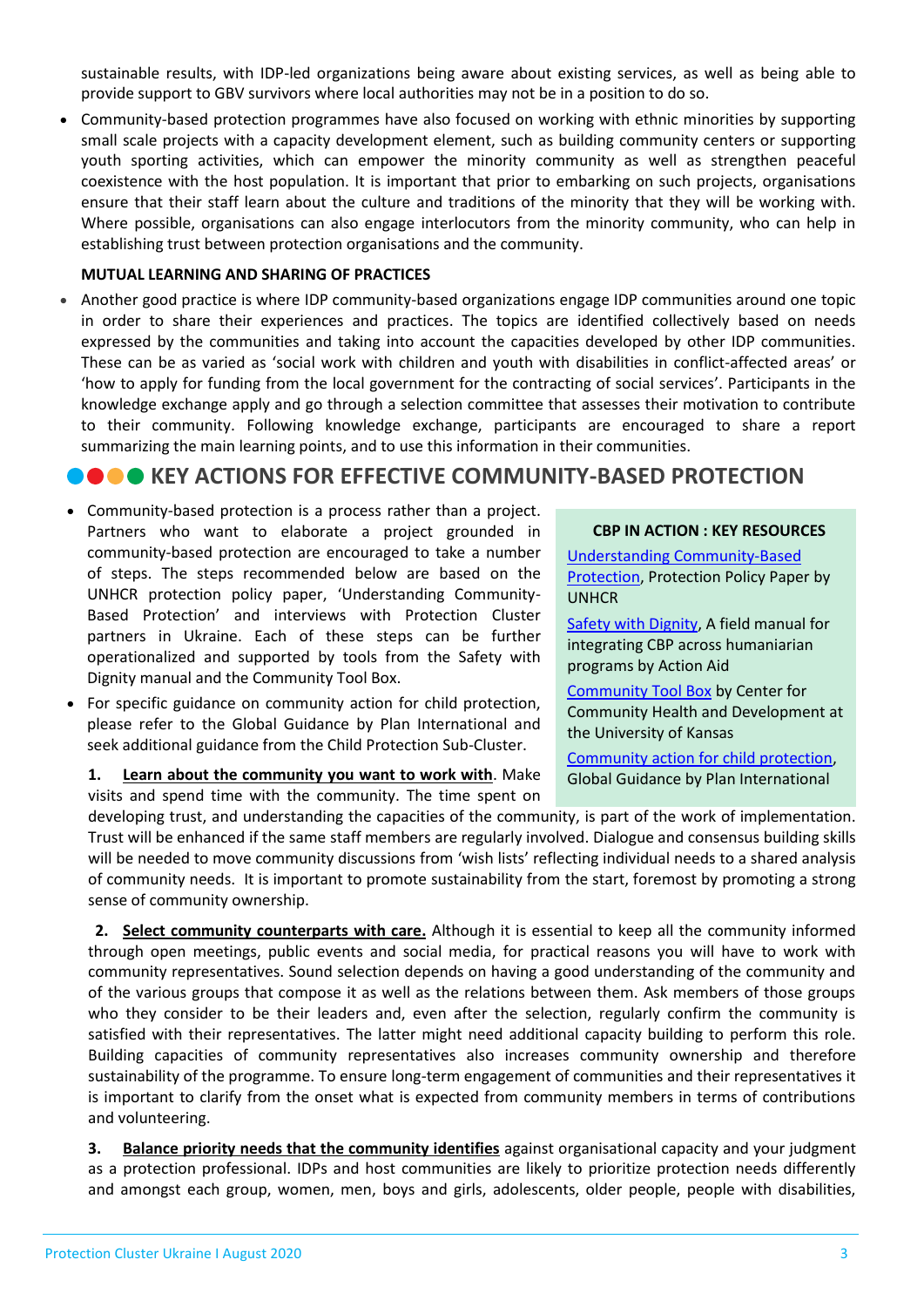sustainable results, with IDP-led organizations being aware about existing services, as well as being able to provide support to GBV survivors where local authorities may not be in a position to do so.

• Community-based protection programmes have also focused on working with ethnic minorities by supporting small scale projects with a capacity development element, such as building community centers or supporting youth sporting activities, which can empower the minority community as well as strengthen peaceful coexistence with the host population. It is important that prior to embarking on such projects, organisations ensure that their staff learn about the culture and traditions of the minority that they will be working with. Where possible, organisations can also engage interlocutors from the minority community, who can help in establishing trust between protection organisations and the community.

#### **MUTUAL LEARNING AND SHARING OF PRACTICES**

• Another good practice is where IDP community-based organizations engage IDP communities around one topic in order to share their experiences and practices. The topics are identified collectively based on needs expressed by the communities and taking into account the capacities developed by other IDP communities. These can be as varied as 'social work with children and youth with disabilities in conflict-affected areas' or 'how to apply for funding from the local government for the contracting of social services'. Participants in the knowledge exchange apply and go through a selection committee that assesses their motivation to contribute to their community. Following knowledge exchange, participants are encouraged to share a report summarizing the main learning points, and to use this information in their communities.

# **COOKEY ACTIONS FOR EFFECTIVE COMMUNITY-BASED PROTECTION**

- Community-based protection is a process rather than a project. Partners who want to elaborate a project grounded in community-based protection are encouraged to take a number of steps. The steps recommended below are based on the UNHCR protection policy paper, 'Understanding Community-Based Protection' and interviews with Protection Cluster partners in Ukraine. Each of these steps can be further operationalized and supported by tools from the Safety with Dignity manual and the Community Tool Box.
- For specific guidance on community action for child protection, please refer to the Global Guidance by Plan International and seek additional guidance from the Child Protection Sub-Cluster.

**1. Learn about the community you want to work with**. Make visits and spend time with the community. The time spent on

#### **CBP IN ACTION : KEY RESOURCES**

[Understanding Community-Based](https://www.refworld.org/pdfid/5209f0b64.pdf)  [Protection,](https://www.refworld.org/pdfid/5209f0b64.pdf) Protection Policy Paper by UNHCR

[Safety with Dignity,](https://actionaid.org/sites/default/files/protection__manual.pdf) A field manual for integrating CBP across humaniarian programs by Action Aid

[Community Tool Box](https://ctb.ku.edu/en/table-of-contents) by Center for Community Health and Development at the University of Kansas

[Community action for child protection,](https://plan-international.org/publications/community-action-child-protection#:~:text=The%20community%20action%20for%20child,including%20their%20roles%20and%20responsibilities) Global Guidance by Plan International

developing trust, and understanding the capacities of the community, is part of the work of implementation. Trust will be enhanced if the same staff members are regularly involved. Dialogue and consensus building skills will be needed to move community discussions from 'wish lists' reflecting individual needs to a shared analysis of community needs. It is important to promote sustainability from the start, foremost by promoting a strong sense of community ownership.

**2. Select community counterparts with care.** Although it is essential to keep all the community informed through open meetings, public events and social media, for practical reasons you will have to work with community representatives. Sound selection depends on having a good understanding of the community and of the various groups that compose it as well as the relations between them. Ask members of those groups who they consider to be their leaders and, even after the selection, regularly confirm the community is satisfied with their representatives. The latter might need additional capacity building to perform this role. Building capacities of community representatives also increases community ownership and therefore sustainability of the programme. To ensure long-term engagement of communities and their representatives it is important to clarify from the onset what is expected from community members in terms of contributions and volunteering.

**3. Balance priority needs that the community identifies** against organisational capacity and your judgment as a protection professional. IDPs and host communities are likely to prioritize protection needs differently and amongst each group, women, men, boys and girls, adolescents, older people, people with disabilities,